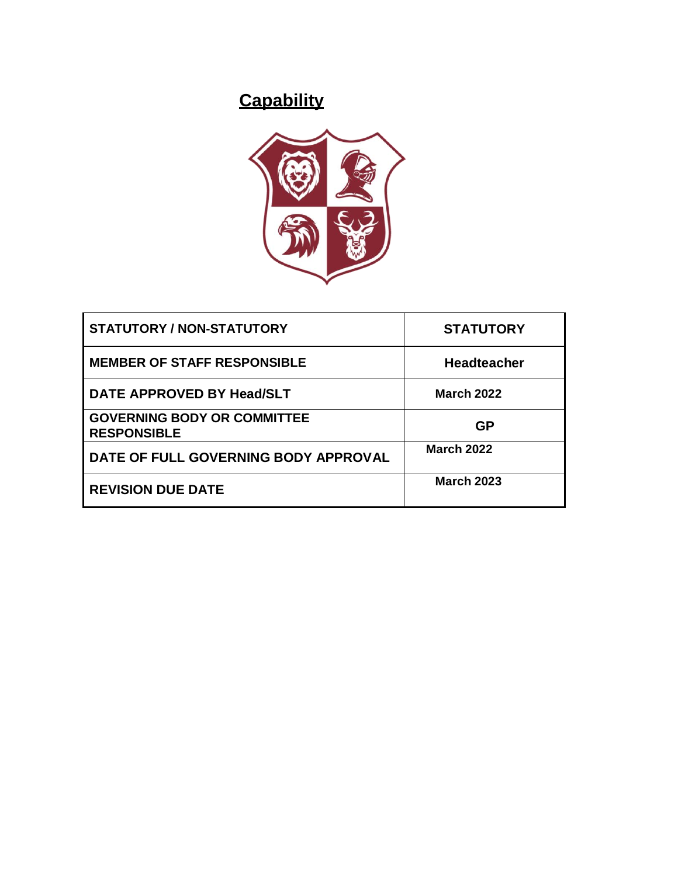# **Capability**



| <b>STATUTORY / NON-STATUTORY</b>                         | <b>STATUTORY</b>   |
|----------------------------------------------------------|--------------------|
| <b>MEMBER OF STAFF RESPONSIBLE</b>                       | <b>Headteacher</b> |
| DATE APPROVED BY Head/SLT                                | <b>March 2022</b>  |
| <b>GOVERNING BODY OR COMMITTEE</b><br><b>RESPONSIBLE</b> | <b>GP</b>          |
| DATE OF FULL GOVERNING BODY APPROVAL                     | <b>March 2022</b>  |
| <b>REVISION DUE DATE</b>                                 | <b>March 2023</b>  |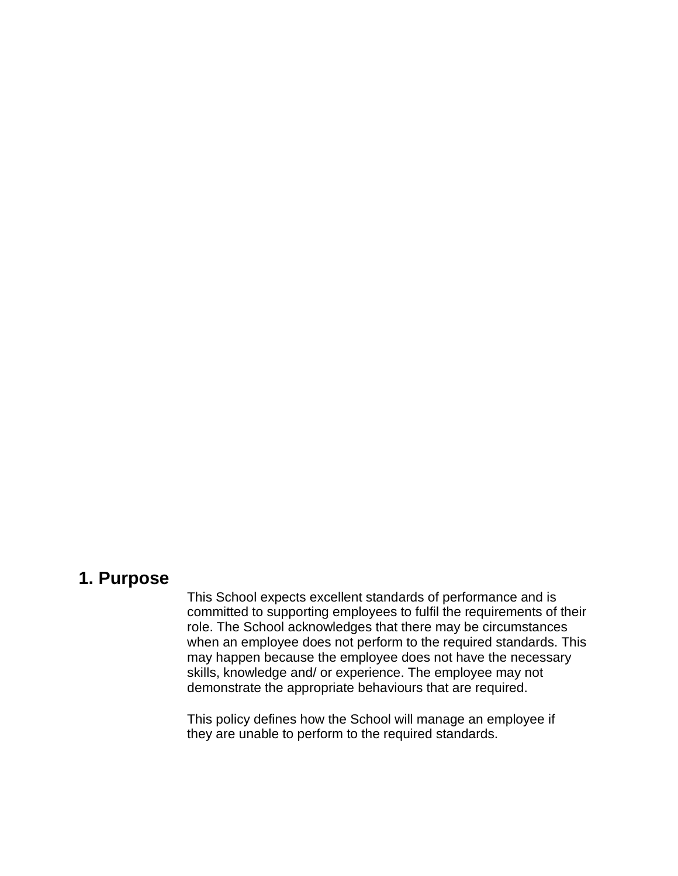### **1. Purpose**

This School expects excellent standards of performance and is committed to supporting employees to fulfil the requirements of their role. The School acknowledges that there may be circumstances when an employee does not perform to the required standards. This may happen because the employee does not have the necessary skills, knowledge and/ or experience. The employee may not demonstrate the appropriate behaviours that are required.

This policy defines how the School will manage an employee if they are unable to perform to the required standards.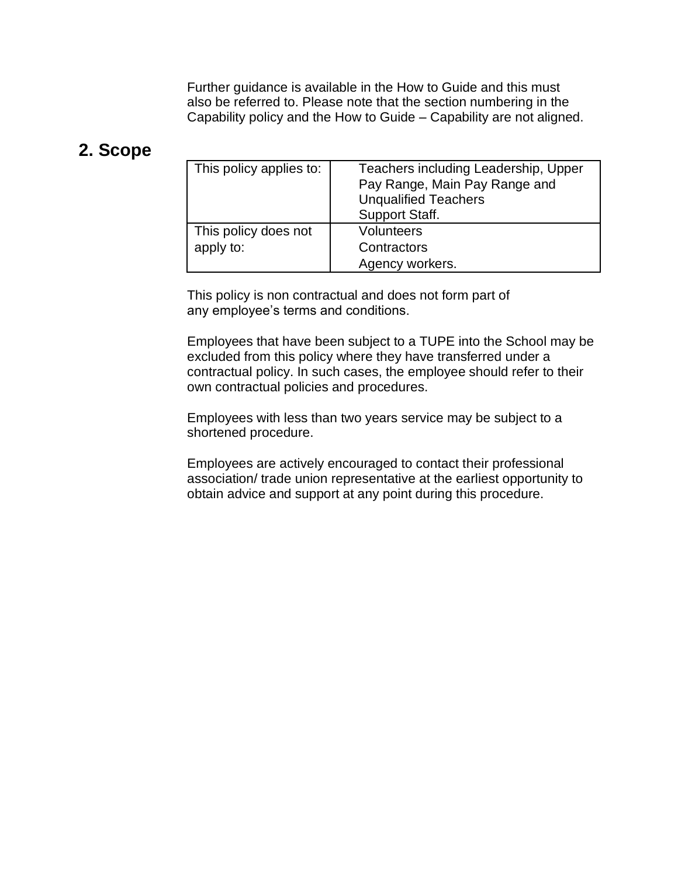Further guidance is available in the How to Guide and this must also be referred to. Please note that the section numbering in the Capability policy and the How to Guide – Capability are not aligned.

### **2. Scope**

| This policy applies to:           | Teachers including Leadership, Upper<br>Pay Range, Main Pay Range and<br><b>Unqualified Teachers</b><br>Support Staff. |
|-----------------------------------|------------------------------------------------------------------------------------------------------------------------|
| This policy does not<br>apply to: | <b>Volunteers</b><br>Contractors<br>Agency workers.                                                                    |

This policy is non contractual and does not form part of any employee's terms and conditions.

Employees that have been subject to a TUPE into the School may be excluded from this policy where they have transferred under a contractual policy. In such cases, the employee should refer to their own contractual policies and procedures.

Employees with less than two years service may be subject to a shortened procedure.

Employees are actively encouraged to contact their professional association/ trade union representative at the earliest opportunity to obtain advice and support at any point during this procedure.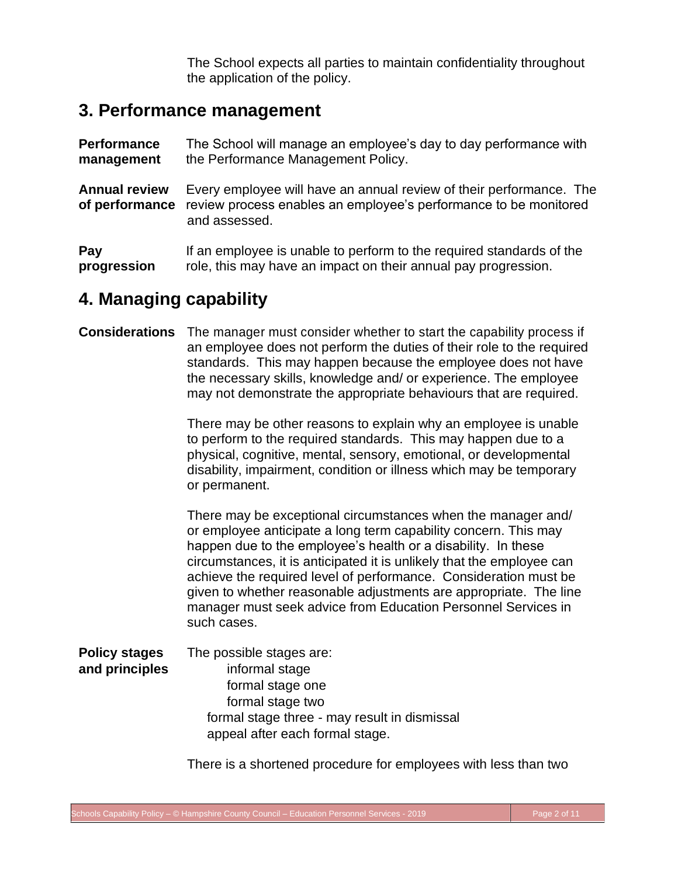The School expects all parties to maintain confidentiality throughout the application of the policy.

### **3. Performance management**

| <b>Performance</b>                     | The School will manage an employee's day to day performance with                                                                                         |  |  |  |
|----------------------------------------|----------------------------------------------------------------------------------------------------------------------------------------------------------|--|--|--|
| management                             | the Performance Management Policy.                                                                                                                       |  |  |  |
| <b>Annual review</b><br>of performance | Every employee will have an annual review of their performance. The<br>review process enables an employee's performance to be monitored<br>and assessed. |  |  |  |
| Pay                                    | If an employee is unable to perform to the required standards of the                                                                                     |  |  |  |
| progression                            | role, this may have an impact on their annual pay progression.                                                                                           |  |  |  |

### **4. Managing capability**

#### **Considerations** The manager must consider whether to start the capability process if an employee does not perform the duties of their role to the required standards. This may happen because the employee does not have the necessary skills, knowledge and/ or experience. The employee may not demonstrate the appropriate behaviours that are required.

There may be other reasons to explain why an employee is unable to perform to the required standards. This may happen due to a physical, cognitive, mental, sensory, emotional, or developmental disability, impairment, condition or illness which may be temporary or permanent.

There may be exceptional circumstances when the manager and/ or employee anticipate a long term capability concern. This may happen due to the employee's health or a disability. In these circumstances, it is anticipated it is unlikely that the employee can achieve the required level of performance. Consideration must be given to whether reasonable adjustments are appropriate. The line manager must seek advice from Education Personnel Services in such cases.

**Policy stages** The possible stages are: **and principles** informal stage formal stage one formal stage two formal stage three - may result in dismissal appeal after each formal stage.

There is a shortened procedure for employees with less than two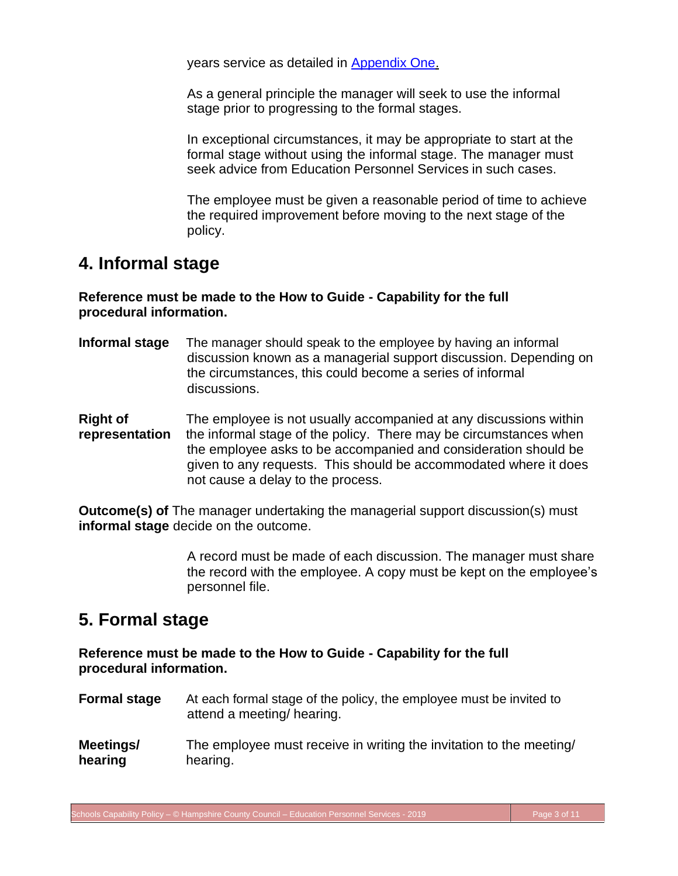<span id="page-4-0"></span>years service as detailed in [Appendix One.](#page-11-0)

As a general principle the manager will seek to use the informal stage prior to progressing to the formal stages.

In exceptional circumstances, it may be appropriate to start at the formal stage without using the informal stage. The manager must seek advice from Education Personnel Services in such cases.

The employee must be given a reasonable period of time to achieve the required improvement before moving to the next stage of the policy.

# **4. Informal stage**

**Reference must be made to the How to Guide - Capability for the full procedural information.**

- **Informal stage** The manager should speak to the employee by having an informal discussion known as a managerial support discussion. Depending on the circumstances, this could become a series of informal discussions.
- **Right of** The employee is not usually accompanied at any discussions within **representation** the informal stage of the policy. There may be circumstances when the employee asks to be accompanied and consideration should be given to any requests. This should be accommodated where it does not cause a delay to the process.

**Outcome(s) of** The manager undertaking the managerial support discussion(s) must **informal stage** decide on the outcome.

> A record must be made of each discussion. The manager must share the record with the employee. A copy must be kept on the employee's personnel file.

# **5. Formal stage**

#### **Reference must be made to the How to Guide - Capability for the full procedural information.**

- **Formal stage** At each formal stage of the policy, the employee must be invited to attend a meeting/ hearing.
- **Meetings/** The employee must receive in writing the invitation to the meeting/ **hearing** hearing.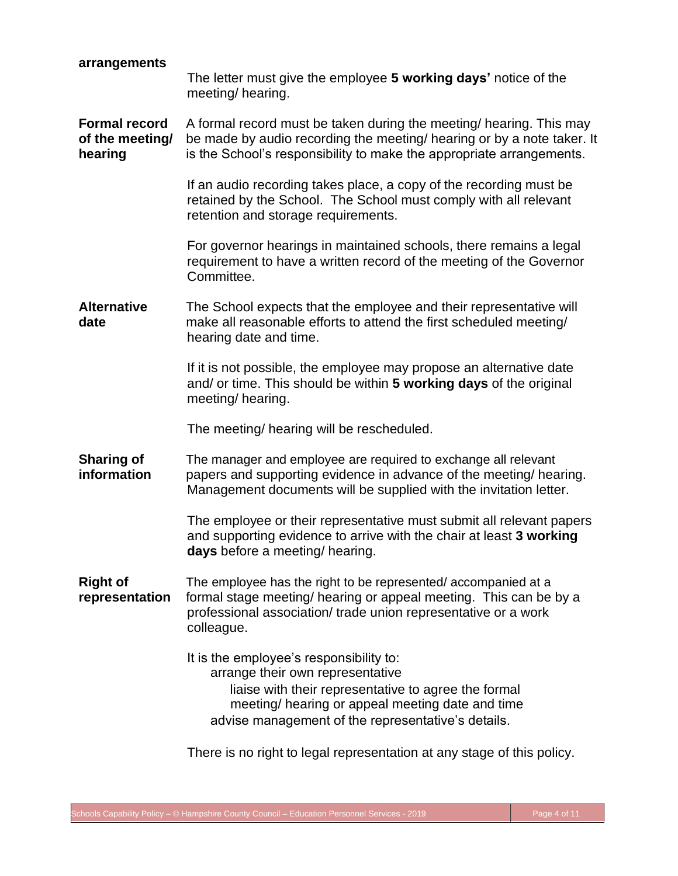<span id="page-5-0"></span>

| arrangements                                       | The letter must give the employee 5 working days' notice of the<br>meeting/hearing.                                                                                                                                                           |  |  |
|----------------------------------------------------|-----------------------------------------------------------------------------------------------------------------------------------------------------------------------------------------------------------------------------------------------|--|--|
| <b>Formal record</b><br>of the meeting/<br>hearing | A formal record must be taken during the meeting/ hearing. This may<br>be made by audio recording the meeting/ hearing or by a note taker. It<br>is the School's responsibility to make the appropriate arrangements.                         |  |  |
|                                                    | If an audio recording takes place, a copy of the recording must be<br>retained by the School. The School must comply with all relevant<br>retention and storage requirements.                                                                 |  |  |
|                                                    | For governor hearings in maintained schools, there remains a legal<br>requirement to have a written record of the meeting of the Governor<br>Committee.                                                                                       |  |  |
| <b>Alternative</b><br>date                         | The School expects that the employee and their representative will<br>make all reasonable efforts to attend the first scheduled meeting/<br>hearing date and time.                                                                            |  |  |
|                                                    | If it is not possible, the employee may propose an alternative date<br>and/ or time. This should be within 5 working days of the original<br>meeting/hearing.                                                                                 |  |  |
|                                                    | The meeting/ hearing will be rescheduled.                                                                                                                                                                                                     |  |  |
| <b>Sharing of</b><br>information                   | The manager and employee are required to exchange all relevant<br>papers and supporting evidence in advance of the meeting/ hearing.<br>Management documents will be supplied with the invitation letter.                                     |  |  |
|                                                    | The employee or their representative must submit all relevant papers<br>and supporting evidence to arrive with the chair at least 3 working<br>days before a meeting/ hearing.                                                                |  |  |
| <b>Right of</b><br>representation                  | The employee has the right to be represented/accompanied at a<br>formal stage meeting/ hearing or appeal meeting. This can be by a<br>professional association/ trade union representative or a work<br>colleague.                            |  |  |
|                                                    | It is the employee's responsibility to:<br>arrange their own representative<br>liaise with their representative to agree the formal<br>meeting/ hearing or appeal meeting date and time<br>advise management of the representative's details. |  |  |
|                                                    |                                                                                                                                                                                                                                               |  |  |

There is no right to legal representation at any stage of this policy.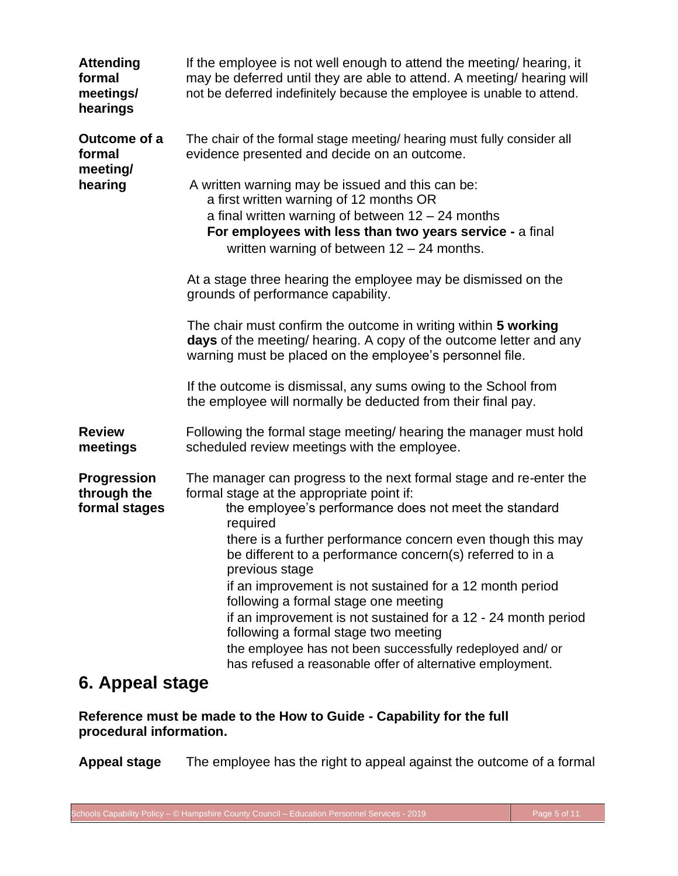<span id="page-6-0"></span>

| <b>Attending</b><br>formal<br>meetings/<br>hearings | If the employee is not well enough to attend the meeting/ hearing, it<br>may be deferred until they are able to attend. A meeting/ hearing will<br>not be deferred indefinitely because the employee is unable to attend.                                              |
|-----------------------------------------------------|------------------------------------------------------------------------------------------------------------------------------------------------------------------------------------------------------------------------------------------------------------------------|
| Outcome of a<br>formal<br>meeting/                  | The chair of the formal stage meeting/ hearing must fully consider all<br>evidence presented and decide on an outcome.                                                                                                                                                 |
| hearing                                             | A written warning may be issued and this can be:<br>a first written warning of 12 months OR<br>a final written warning of between $12 - 24$ months<br>For employees with less than two years service - a final<br>written warning of between $12 - 24$ months.         |
|                                                     | At a stage three hearing the employee may be dismissed on the<br>grounds of performance capability.                                                                                                                                                                    |
|                                                     | The chair must confirm the outcome in writing within 5 working<br>days of the meeting/ hearing. A copy of the outcome letter and any<br>warning must be placed on the employee's personnel file.                                                                       |
|                                                     | If the outcome is dismissal, any sums owing to the School from<br>the employee will normally be deducted from their final pay.                                                                                                                                         |
| <b>Review</b><br>meetings                           | Following the formal stage meeting/ hearing the manager must hold<br>scheduled review meetings with the employee.                                                                                                                                                      |
| <b>Progression</b><br>through the                   | The manager can progress to the next formal stage and re-enter the<br>formal stage at the appropriate point if:                                                                                                                                                        |
| formal stages                                       | the employee's performance does not meet the standard<br>required                                                                                                                                                                                                      |
|                                                     | there is a further performance concern even though this may<br>be different to a performance concern(s) referred to in a<br>previous stage                                                                                                                             |
|                                                     | if an improvement is not sustained for a 12 month period<br>following a formal stage one meeting<br>if an improvement is not sustained for a 12 - 24 month period<br>following a formal stage two meeting<br>the employee has not been successfully redeployed and/ or |
|                                                     | has refused a reasonable offer of alternative employment.                                                                                                                                                                                                              |

### **6. Appeal stage**

**Reference must be made to the How to Guide - Capability for the full procedural information.**

**Appeal stage** The employee has the right to appeal against the outcome of a formal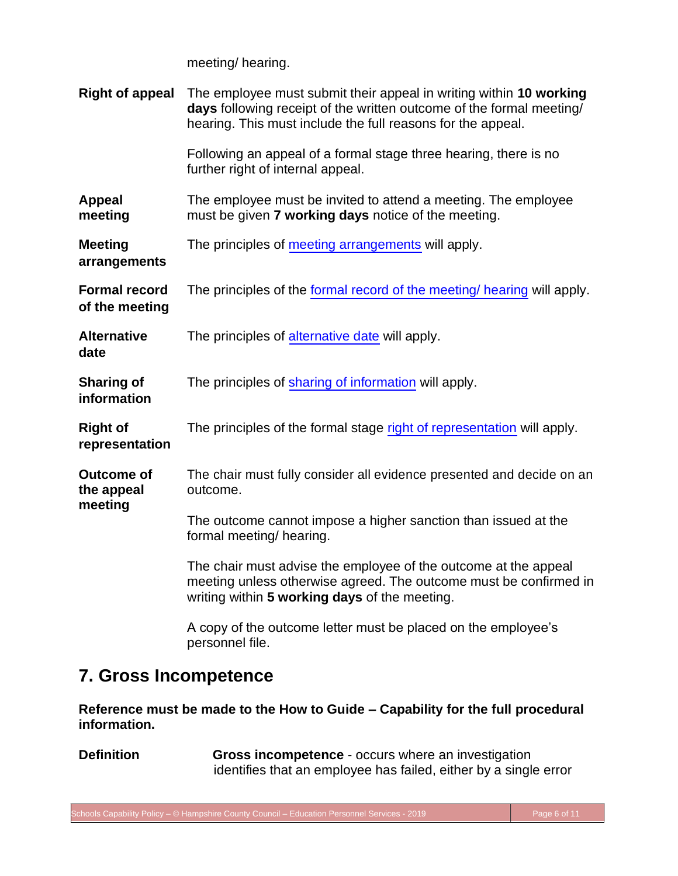meeting/ hearing.

<span id="page-7-0"></span>

| <b>Right of appeal</b>                     | The employee must submit their appeal in writing within 10 working<br>days following receipt of the written outcome of the formal meeting/<br>hearing. This must include the full reasons for the appeal. |  |  |  |  |
|--------------------------------------------|-----------------------------------------------------------------------------------------------------------------------------------------------------------------------------------------------------------|--|--|--|--|
|                                            | Following an appeal of a formal stage three hearing, there is no<br>further right of internal appeal.                                                                                                     |  |  |  |  |
| <b>Appeal</b><br>meeting                   | The employee must be invited to attend a meeting. The employee<br>must be given 7 working days notice of the meeting.                                                                                     |  |  |  |  |
| <b>Meeting</b><br>arrangements             | The principles of meeting arrangements will apply.                                                                                                                                                        |  |  |  |  |
| <b>Formal record</b><br>of the meeting     | The principles of the formal record of the meeting/ hearing will apply.                                                                                                                                   |  |  |  |  |
| <b>Alternative</b><br>date                 | The principles of alternative date will apply.                                                                                                                                                            |  |  |  |  |
| <b>Sharing of</b><br>information           | The principles of sharing of information will apply.                                                                                                                                                      |  |  |  |  |
| <b>Right of</b><br>representation          | The principles of the formal stage right of representation will apply.                                                                                                                                    |  |  |  |  |
| <b>Outcome of</b><br>the appeal<br>meeting | The chair must fully consider all evidence presented and decide on an<br>outcome.                                                                                                                         |  |  |  |  |
|                                            | The outcome cannot impose a higher sanction than issued at the<br>formal meeting/ hearing.                                                                                                                |  |  |  |  |
|                                            | The chair must advise the employee of the outcome at the appeal<br>meeting unless otherwise agreed. The outcome must be confirmed in<br>writing within 5 working days of the meeting.                     |  |  |  |  |
|                                            | A copy of the outcome letter must be placed on the employee's<br>personnel file.                                                                                                                          |  |  |  |  |

### **7. Gross Incompetence**

**Reference must be made to the How to Guide – Capability for the full procedural information.**

**Definition Gross incompetence** - occurs where an investigation identifies that an employee has failed, either by a single error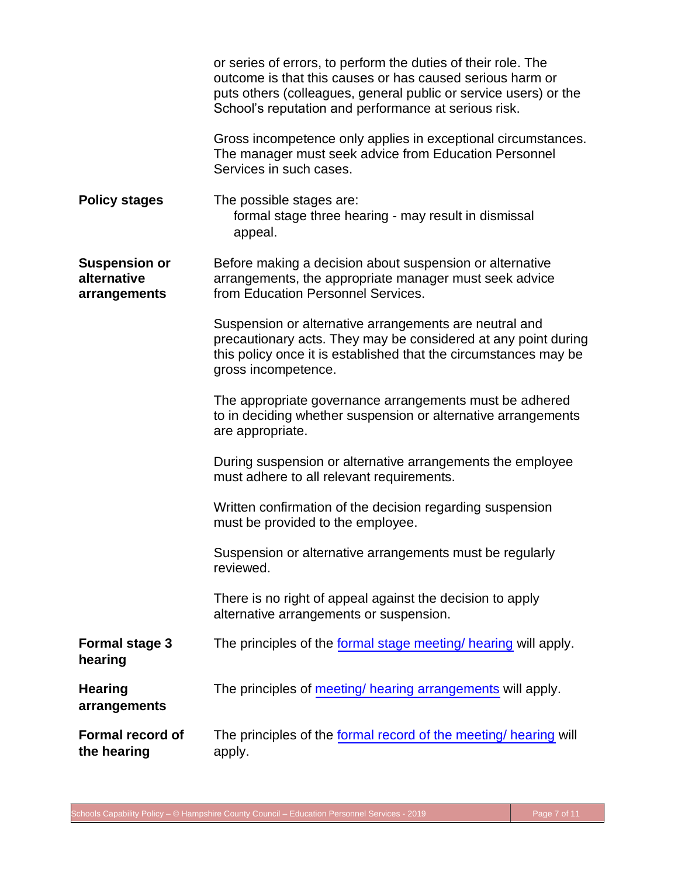|                                                     | or series of errors, to perform the duties of their role. The<br>outcome is that this causes or has caused serious harm or<br>puts others (colleagues, general public or service users) or the<br>School's reputation and performance at serious risk. |
|-----------------------------------------------------|--------------------------------------------------------------------------------------------------------------------------------------------------------------------------------------------------------------------------------------------------------|
|                                                     | Gross incompetence only applies in exceptional circumstances.<br>The manager must seek advice from Education Personnel<br>Services in such cases.                                                                                                      |
| <b>Policy stages</b>                                | The possible stages are:<br>formal stage three hearing - may result in dismissal<br>appeal.                                                                                                                                                            |
| <b>Suspension or</b><br>alternative<br>arrangements | Before making a decision about suspension or alternative<br>arrangements, the appropriate manager must seek advice<br>from Education Personnel Services.                                                                                               |
|                                                     | Suspension or alternative arrangements are neutral and<br>precautionary acts. They may be considered at any point during<br>this policy once it is established that the circumstances may be<br>gross incompetence.                                    |
|                                                     | The appropriate governance arrangements must be adhered<br>to in deciding whether suspension or alternative arrangements<br>are appropriate.                                                                                                           |
|                                                     | During suspension or alternative arrangements the employee<br>must adhere to all relevant requirements.                                                                                                                                                |
|                                                     | Written confirmation of the decision regarding suspension<br>must be provided to the employee.                                                                                                                                                         |
|                                                     | Suspension or alternative arrangements must be regularly<br>reviewed.                                                                                                                                                                                  |
|                                                     | There is no right of appeal against the decision to apply<br>alternative arrangements or suspension.                                                                                                                                                   |
| <b>Formal stage 3</b><br>hearing                    | The principles of the formal stage meeting/ hearing will apply.                                                                                                                                                                                        |
| <b>Hearing</b><br>arrangements                      | The principles of meeting/ hearing arrangements will apply.                                                                                                                                                                                            |
| <b>Formal record of</b><br>the hearing              | The principles of the formal record of the meeting/ hearing will<br>apply.                                                                                                                                                                             |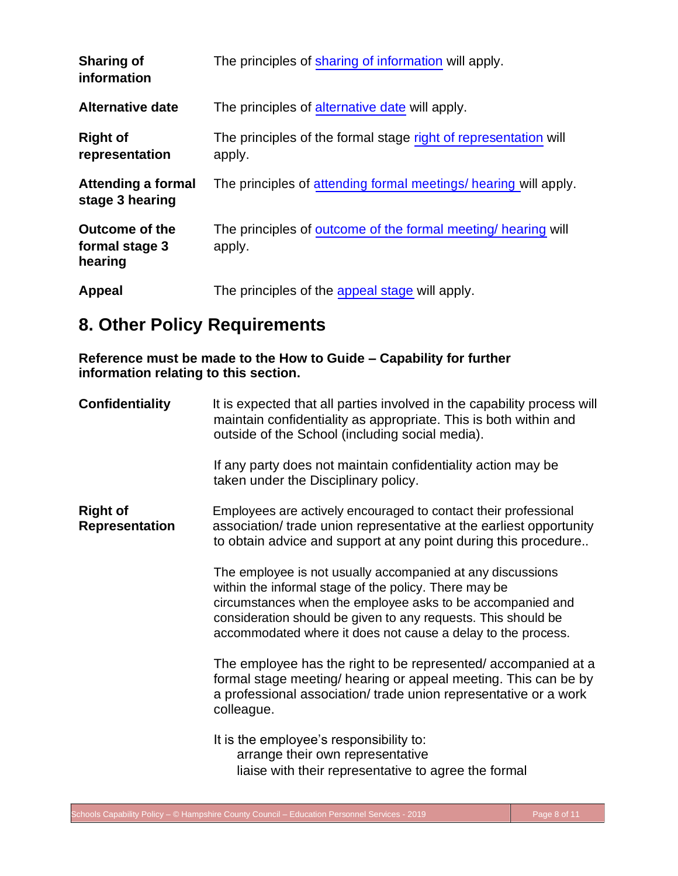| <b>Sharing of</b><br>information                   | The principles of sharing of information will apply.                      |
|----------------------------------------------------|---------------------------------------------------------------------------|
| <b>Alternative date</b>                            | The principles of alternative date will apply.                            |
| <b>Right of</b><br>representation                  | The principles of the formal stage right of representation will<br>apply. |
| Attending a formal<br>stage 3 hearing              | The principles of attending formal meetings/ hearing will apply.          |
| <b>Outcome of the</b><br>formal stage 3<br>hearing | The principles of outcome of the formal meeting/ hearing will<br>apply.   |
| Appeal                                             | The principles of the appeal stage will apply.                            |

# **8. Other Policy Requirements**

**Reference must be made to the How to Guide – Capability for further information relating to this section.**

| <b>Confidentiality</b>                   | It is expected that all parties involved in the capability process will<br>maintain confidentiality as appropriate. This is both within and<br>outside of the School (including social media).                                                                                                                     |  |  |  |
|------------------------------------------|--------------------------------------------------------------------------------------------------------------------------------------------------------------------------------------------------------------------------------------------------------------------------------------------------------------------|--|--|--|
|                                          | If any party does not maintain confidentiality action may be<br>taken under the Disciplinary policy.                                                                                                                                                                                                               |  |  |  |
| <b>Right of</b><br><b>Representation</b> | Employees are actively encouraged to contact their professional<br>association/trade union representative at the earliest opportunity<br>to obtain advice and support at any point during this procedure                                                                                                           |  |  |  |
|                                          | The employee is not usually accompanied at any discussions<br>within the informal stage of the policy. There may be<br>circumstances when the employee asks to be accompanied and<br>consideration should be given to any requests. This should be<br>accommodated where it does not cause a delay to the process. |  |  |  |
|                                          | The employee has the right to be represented/accompanied at a<br>formal stage meeting/ hearing or appeal meeting. This can be by<br>a professional association/ trade union representative or a work<br>colleague.                                                                                                 |  |  |  |
|                                          | It is the employee's responsibility to:<br>arrange their own representative<br>liaise with their representative to agree the formal                                                                                                                                                                                |  |  |  |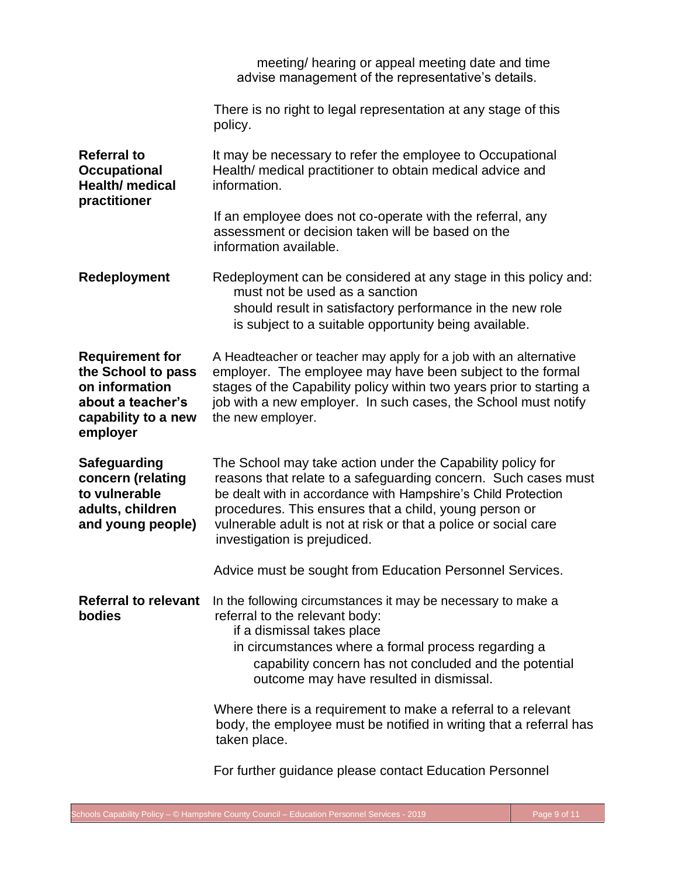|                                                                                                                        | meeting/ hearing or appeal meeting date and time<br>advise management of the representative's details.                                                                                                                                                                                                                                                     |
|------------------------------------------------------------------------------------------------------------------------|------------------------------------------------------------------------------------------------------------------------------------------------------------------------------------------------------------------------------------------------------------------------------------------------------------------------------------------------------------|
|                                                                                                                        | There is no right to legal representation at any stage of this<br>policy.                                                                                                                                                                                                                                                                                  |
| <b>Referral to</b><br><b>Occupational</b><br><b>Health/</b> medical<br>practitioner                                    | It may be necessary to refer the employee to Occupational<br>Health/ medical practitioner to obtain medical advice and<br>information.                                                                                                                                                                                                                     |
|                                                                                                                        | If an employee does not co-operate with the referral, any<br>assessment or decision taken will be based on the<br>information available.                                                                                                                                                                                                                   |
| Redeployment                                                                                                           | Redeployment can be considered at any stage in this policy and:<br>must not be used as a sanction<br>should result in satisfactory performance in the new role<br>is subject to a suitable opportunity being available.                                                                                                                                    |
| <b>Requirement for</b><br>the School to pass<br>on information<br>about a teacher's<br>capability to a new<br>employer | A Headteacher or teacher may apply for a job with an alternative<br>employer. The employee may have been subject to the formal<br>stages of the Capability policy within two years prior to starting a<br>job with a new employer. In such cases, the School must notify<br>the new employer.                                                              |
| <b>Safeguarding</b><br>concern (relating<br>to vulnerable<br>adults, children<br>and young people)                     | The School may take action under the Capability policy for<br>reasons that relate to a safeguarding concern. Such cases must<br>be dealt with in accordance with Hampshire's Child Protection<br>procedures. This ensures that a child, young person or<br>vulnerable adult is not at risk or that a police or social care<br>investigation is prejudiced. |
|                                                                                                                        | Advice must be sought from Education Personnel Services.                                                                                                                                                                                                                                                                                                   |
| <b>Referral to relevant</b><br>bodies                                                                                  | In the following circumstances it may be necessary to make a<br>referral to the relevant body:<br>if a dismissal takes place<br>in circumstances where a formal process regarding a<br>capability concern has not concluded and the potential<br>outcome may have resulted in dismissal.                                                                   |
|                                                                                                                        | Where there is a requirement to make a referral to a relevant<br>body, the employee must be notified in writing that a referral has<br>taken place.                                                                                                                                                                                                        |
|                                                                                                                        | For further guidance please contact Education Personnel                                                                                                                                                                                                                                                                                                    |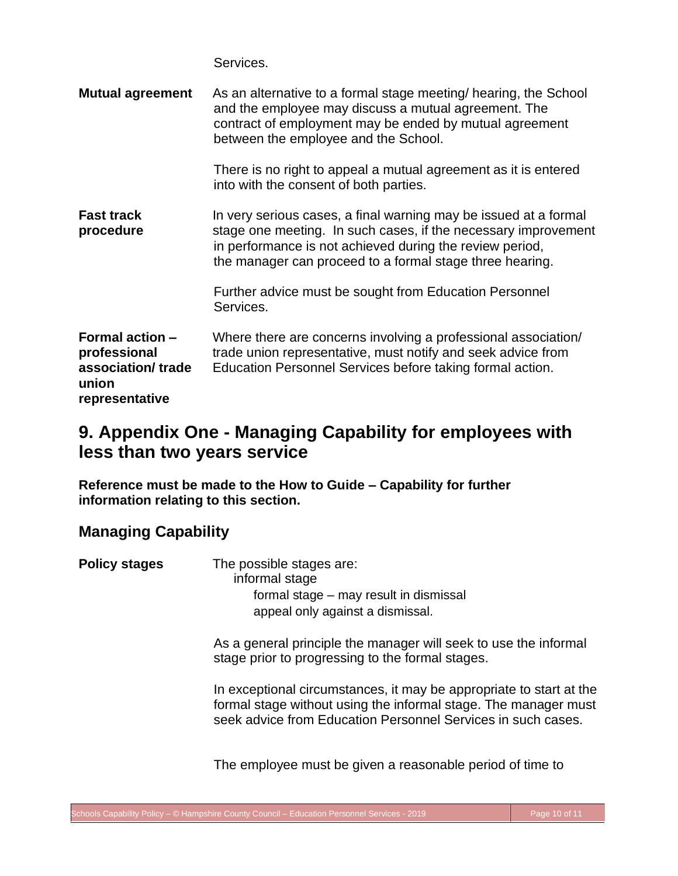Services.

<span id="page-11-0"></span>

| <b>Mutual agreement</b>                                                                | As an alternative to a formal stage meeting/ hearing, the School<br>and the employee may discuss a mutual agreement. The<br>contract of employment may be ended by mutual agreement<br>between the employee and the School.                                |  |  |
|----------------------------------------------------------------------------------------|------------------------------------------------------------------------------------------------------------------------------------------------------------------------------------------------------------------------------------------------------------|--|--|
|                                                                                        | There is no right to appeal a mutual agreement as it is entered<br>into with the consent of both parties.                                                                                                                                                  |  |  |
| <b>Fast track</b><br>procedure                                                         | In very serious cases, a final warning may be issued at a formal<br>stage one meeting. In such cases, if the necessary improvement<br>in performance is not achieved during the review period,<br>the manager can proceed to a formal stage three hearing. |  |  |
|                                                                                        | Further advice must be sought from Education Personnel<br>Services.                                                                                                                                                                                        |  |  |
| <b>Formal action -</b><br>professional<br>association/trade<br>union<br>representative | Where there are concerns involving a professional association/<br>trade union representative, must notify and seek advice from<br>Education Personnel Services before taking formal action.                                                                |  |  |

## **9. Appendix One - Managing Capability for employees with less than two years service**

**Reference must be made to the How to Guide – Capability for further information relating to this section.**

### **Managing Capability**

**Policy stages** The possible stages are: informal stage formal stage – may result in dismissal appeal only against a dismissal.

> As a general principle the manager will seek to use the informal stage prior to progressing to the formal stages.

In exceptional circumstances, it may be appropriate to start at the formal stage without using the informal stage. The manager must seek advice from Education Personnel Services in such cases.

The employee must be given a reasonable period of time to